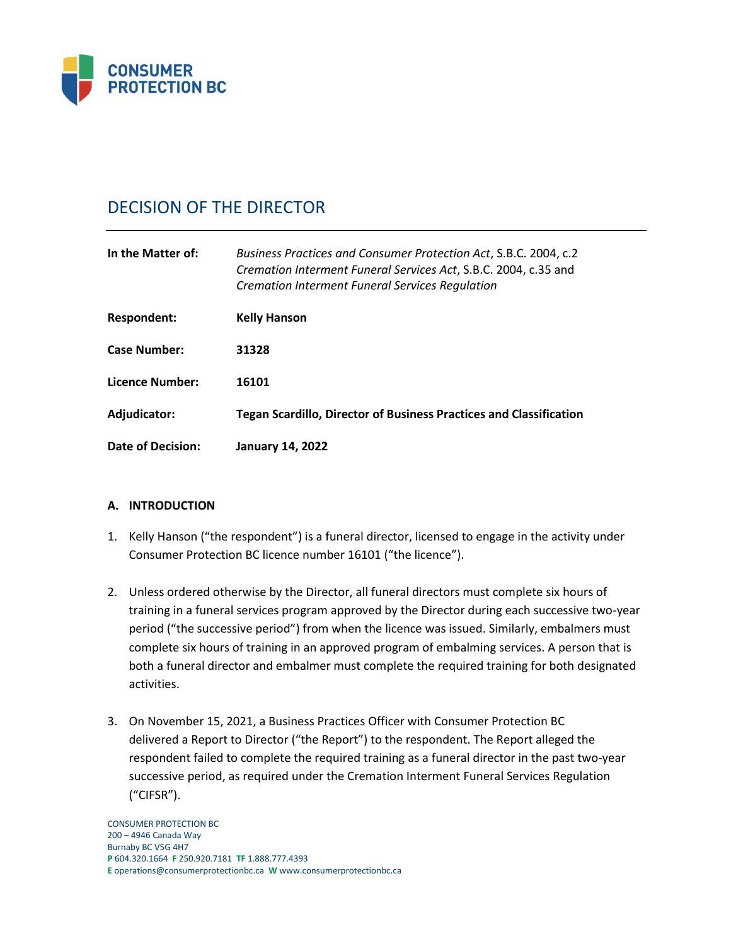

# DECISION OF THE DIRECTOR

| In the Matter of:   | Business Practices and Consumer Protection Act, S.B.C. 2004, c.2<br>Cremation Interment Funeral Services Act, S.B.C. 2004, c.35 and<br><b>Cremation Interment Funeral Services Regulation</b> |
|---------------------|-----------------------------------------------------------------------------------------------------------------------------------------------------------------------------------------------|
| Respondent:         | <b>Kelly Hanson</b>                                                                                                                                                                           |
| <b>Case Number:</b> | 31328                                                                                                                                                                                         |
| Licence Number:     | 16101                                                                                                                                                                                         |
| Adjudicator:        | <b>Tegan Scardillo, Director of Business Practices and Classification</b>                                                                                                                     |
| Date of Decision:   | <b>January 14, 2022</b>                                                                                                                                                                       |

# **A. INTRODUCTION**

- 1. Kelly Hanson ("the respondent") is a funeral director, licensed to engage in the activity under Consumer Protection BC licence number 16101 ("the licence").
- 2. Unless ordered otherwise by the Director, all funeral directors must complete six hours of training in a funeral services program approved by the Director during each successive two-year period ("the successive period") from when the licence was issued. Similarly, embalmers must complete six hours of training in an approved program of embalming services. A person that is both a funeral director and embalmer must complete the required training for both designated activities.
- 3. On November 15, 2021, a Business Practices Officer with Consumer Protection BC delivered a Report to Director ("the Report") to the respondent. The Report alleged the respondent failed to complete the required training as a funeral director in the past two-year successive period, as required under the Cremation Interment Funeral Services Regulation ("CIFSR").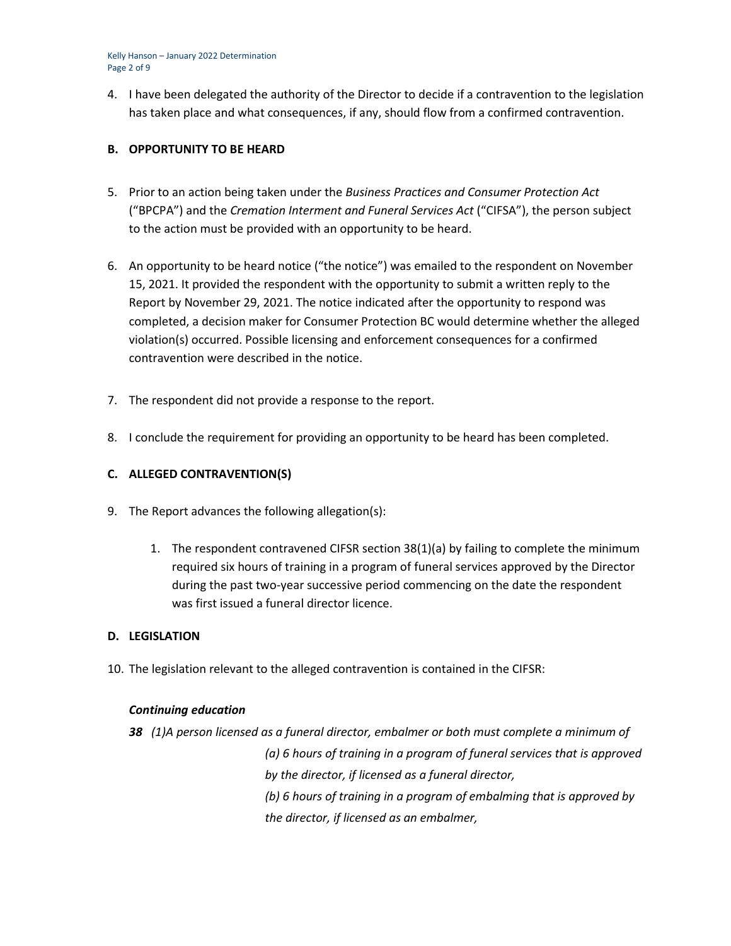Kelly Hanson – January 2022 Determination Page 2 of 9

4. I have been delegated the authority of the Director to decide if a contravention to the legislation has taken place and what consequences, if any, should flow from a confirmed contravention.

## **B. OPPORTUNITY TO BE HEARD**

- 5. Prior to an action being taken under the *Business Practices and Consumer Protection Act*  ("BPCPA") and the *Cremation Interment and Funeral Services Act* ("CIFSA"), the person subject to the action must be provided with an opportunity to be heard.
- 6. An opportunity to be heard notice ("the notice") was emailed to the respondent on November 15, 2021. It provided the respondent with the opportunity to submit a written reply to the Report by November 29, 2021. The notice indicated after the opportunity to respond was completed, a decision maker for Consumer Protection BC would determine whether the alleged violation(s) occurred. Possible licensing and enforcement consequences for a confirmed contravention were described in the notice.
- 7. The respondent did not provide a response to the report.
- 8. I conclude the requirement for providing an opportunity to be heard has been completed.

# **C. ALLEGED CONTRAVENTION(S)**

- 9. The Report advances the following allegation(s):
	- 1. The respondent contravened CIFSR section 38(1)(a) by failing to complete the minimum required six hours of training in a program of funeral services approved by the Director during the past two-year successive period commencing on the date the respondent was first issued a funeral director licence.

## **D. LEGISLATION**

10. The legislation relevant to the alleged contravention is contained in the CIFSR:

## *Continuing education*

*38 (1)A person licensed as a funeral director, embalmer or both must complete a minimum of (a) 6 hours of training in a program of funeral services that is approved by the director, if licensed as a funeral director, (b) 6 hours of training in a program of embalming that is approved by the director, if licensed as an embalmer,*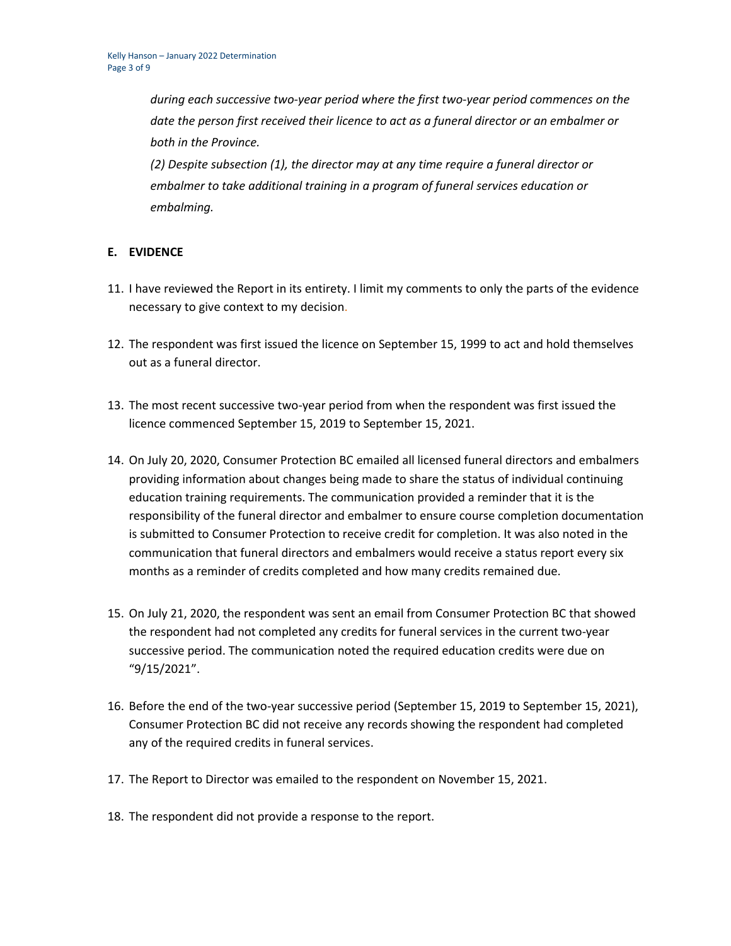*during each successive two-year period where the first two-year period commences on the date the person first received their licence to act as a funeral director or an embalmer or both in the Province.*

*(2) Despite subsection (1), the director may at any time require a funeral director or embalmer to take additional training in a program of funeral services education or embalming.*

## **E. EVIDENCE**

- 11. I have reviewed the Report in its entirety. I limit my comments to only the parts of the evidence necessary to give context to my decision.
- 12. The respondent was first issued the licence on September 15, 1999 to act and hold themselves out as a funeral director.
- 13. The most recent successive two-year period from when the respondent was first issued the licence commenced September 15, 2019 to September 15, 2021.
- 14. On July 20, 2020, Consumer Protection BC emailed all licensed funeral directors and embalmers providing information about changes being made to share the status of individual continuing education training requirements. The communication provided a reminder that it is the responsibility of the funeral director and embalmer to ensure course completion documentation is submitted to Consumer Protection to receive credit for completion. It was also noted in the communication that funeral directors and embalmers would receive a status report every six months as a reminder of credits completed and how many credits remained due.
- 15. On July 21, 2020, the respondent was sent an email from Consumer Protection BC that showed the respondent had not completed any credits for funeral services in the current two-year successive period. The communication noted the required education credits were due on "9/15/2021".
- 16. Before the end of the two-year successive period (September 15, 2019 to September 15, 2021), Consumer Protection BC did not receive any records showing the respondent had completed any of the required credits in funeral services.
- 17. The Report to Director was emailed to the respondent on November 15, 2021.
- 18. The respondent did not provide a response to the report.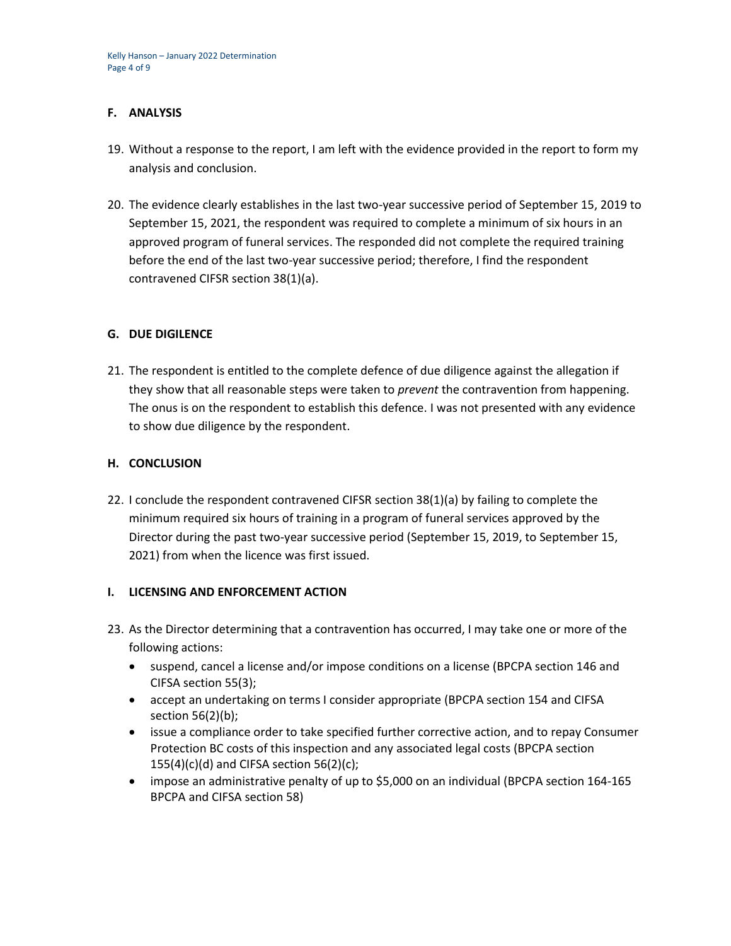## **F. ANALYSIS**

- 19. Without a response to the report, I am left with the evidence provided in the report to form my analysis and conclusion.
- 20. The evidence clearly establishes in the last two-year successive period of September 15, 2019 to September 15, 2021, the respondent was required to complete a minimum of six hours in an approved program of funeral services. The responded did not complete the required training before the end of the last two-year successive period; therefore, I find the respondent contravened CIFSR section 38(1)(a).

## **G. DUE DIGILENCE**

21. The respondent is entitled to the complete defence of due diligence against the allegation if they show that all reasonable steps were taken to *prevent* the contravention from happening. The onus is on the respondent to establish this defence. I was not presented with any evidence to show due diligence by the respondent.

## **H. CONCLUSION**

22. I conclude the respondent contravened CIFSR section 38(1)(a) by failing to complete the minimum required six hours of training in a program of funeral services approved by the Director during the past two-year successive period (September 15, 2019, to September 15, 2021) from when the licence was first issued.

## **I. LICENSING AND ENFORCEMENT ACTION**

- 23. As the Director determining that a contravention has occurred, I may take one or more of the following actions:
	- suspend, cancel a license and/or impose conditions on a license (BPCPA section 146 and CIFSA section 55(3);
	- accept an undertaking on terms I consider appropriate (BPCPA section 154 and CIFSA section 56(2)(b);
	- issue a compliance order to take specified further corrective action, and to repay Consumer Protection BC costs of this inspection and any associated legal costs (BPCPA section  $155(4)(c)(d)$  and CIFSA section 56(2)(c);
	- impose an administrative penalty of up to \$5,000 on an individual (BPCPA section 164-165 BPCPA and CIFSA section 58)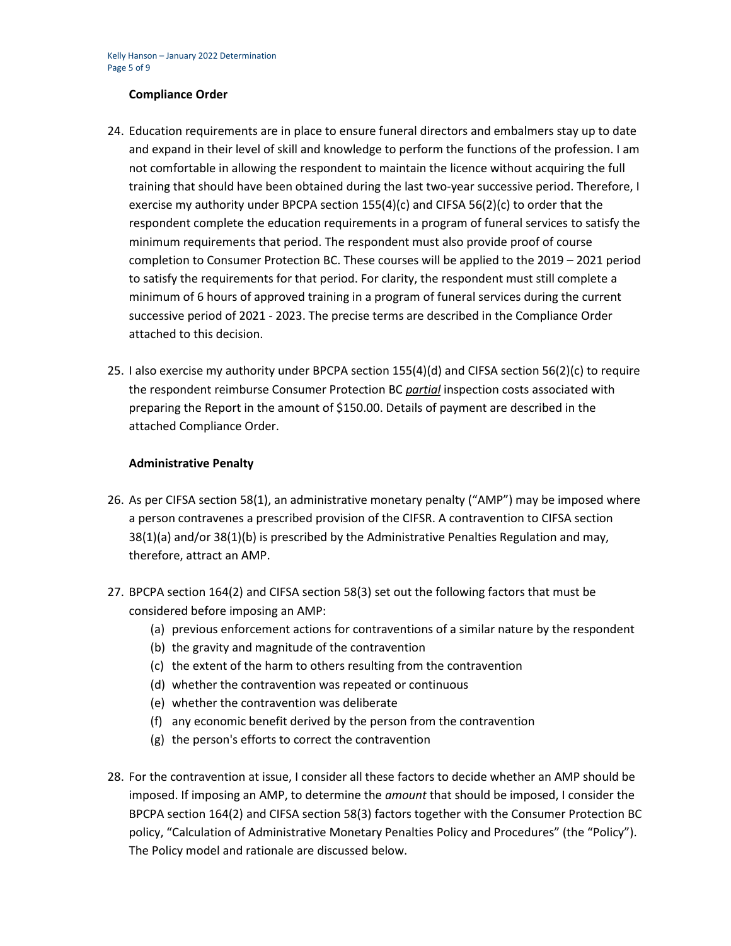## **Compliance Order**

- 24. Education requirements are in place to ensure funeral directors and embalmers stay up to date and expand in their level of skill and knowledge to perform the functions of the profession. I am not comfortable in allowing the respondent to maintain the licence without acquiring the full training that should have been obtained during the last two-year successive period. Therefore, I exercise my authority under BPCPA section 155(4)(c) and CIFSA 56(2)(c) to order that the respondent complete the education requirements in a program of funeral services to satisfy the minimum requirements that period. The respondent must also provide proof of course completion to Consumer Protection BC. These courses will be applied to the 2019 – 2021 period to satisfy the requirements for that period. For clarity, the respondent must still complete a minimum of 6 hours of approved training in a program of funeral services during the current successive period of 2021 - 2023. The precise terms are described in the Compliance Order attached to this decision.
- 25. I also exercise my authority under BPCPA section 155(4)(d) and CIFSA section 56(2)(c) to require the respondent reimburse Consumer Protection BC *partial* inspection costs associated with preparing the Report in the amount of \$150.00. Details of payment are described in the attached Compliance Order.

#### **Administrative Penalty**

- 26. As per CIFSA section 58(1), an administrative monetary penalty ("AMP") may be imposed where a person contravenes a prescribed provision of the CIFSR. A contravention to CIFSA section 38(1)(a) and/or 38(1)(b) is prescribed by the Administrative Penalties Regulation and may, therefore, attract an AMP.
- 27. BPCPA section 164(2) and CIFSA section 58(3) set out the following factors that must be considered before imposing an AMP:
	- (a) previous enforcement actions for contraventions of a similar nature by the respondent
	- (b) the gravity and magnitude of the contravention
	- (c) the extent of the harm to others resulting from the contravention
	- (d) whether the contravention was repeated or continuous
	- (e) whether the contravention was deliberate
	- (f) any economic benefit derived by the person from the contravention
	- (g) the person's efforts to correct the contravention
- 28. For the contravention at issue, I consider all these factors to decide whether an AMP should be imposed. If imposing an AMP, to determine the *amount* that should be imposed, I consider the BPCPA section 164(2) and CIFSA section 58(3) factors together with the Consumer Protection BC policy, "Calculation of Administrative Monetary Penalties Policy and Procedures" (the "Policy"). The Policy model and rationale are discussed below.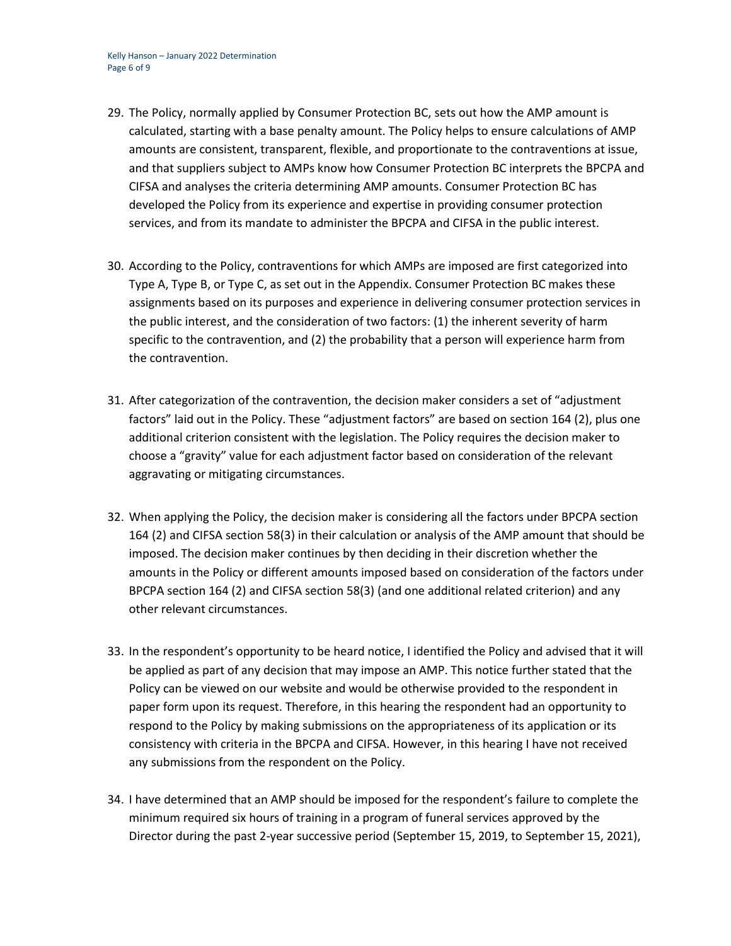- 29. The Policy, normally applied by Consumer Protection BC, sets out how the AMP amount is calculated, starting with a base penalty amount. The Policy helps to ensure calculations of AMP amounts are consistent, transparent, flexible, and proportionate to the contraventions at issue, and that suppliers subject to AMPs know how Consumer Protection BC interprets the BPCPA and CIFSA and analyses the criteria determining AMP amounts. Consumer Protection BC has developed the Policy from its experience and expertise in providing consumer protection services, and from its mandate to administer the BPCPA and CIFSA in the public interest.
- 30. According to the Policy, contraventions for which AMPs are imposed are first categorized into Type A, Type B, or Type C, as set out in the Appendix. Consumer Protection BC makes these assignments based on its purposes and experience in delivering consumer protection services in the public interest, and the consideration of two factors: (1) the inherent severity of harm specific to the contravention, and (2) the probability that a person will experience harm from the contravention.
- 31. After categorization of the contravention, the decision maker considers a set of "adjustment factors" laid out in the Policy. These "adjustment factors" are based on section 164 (2), plus one additional criterion consistent with the legislation. The Policy requires the decision maker to choose a "gravity" value for each adjustment factor based on consideration of the relevant aggravating or mitigating circumstances.
- 32. When applying the Policy, the decision maker is considering all the factors under BPCPA section 164 (2) and CIFSA section 58(3) in their calculation or analysis of the AMP amount that should be imposed. The decision maker continues by then deciding in their discretion whether the amounts in the Policy or different amounts imposed based on consideration of the factors under BPCPA section 164 (2) and CIFSA section 58(3) (and one additional related criterion) and any other relevant circumstances.
- 33. In the respondent's opportunity to be heard notice, I identified the Policy and advised that it will be applied as part of any decision that may impose an AMP. This notice further stated that the Policy can be viewed on our website and would be otherwise provided to the respondent in paper form upon its request. Therefore, in this hearing the respondent had an opportunity to respond to the Policy by making submissions on the appropriateness of its application or its consistency with criteria in the BPCPA and CIFSA. However, in this hearing I have not received any submissions from the respondent on the Policy.
- 34. I have determined that an AMP should be imposed for the respondent's failure to complete the minimum required six hours of training in a program of funeral services approved by the Director during the past 2-year successive period (September 15, 2019, to September 15, 2021),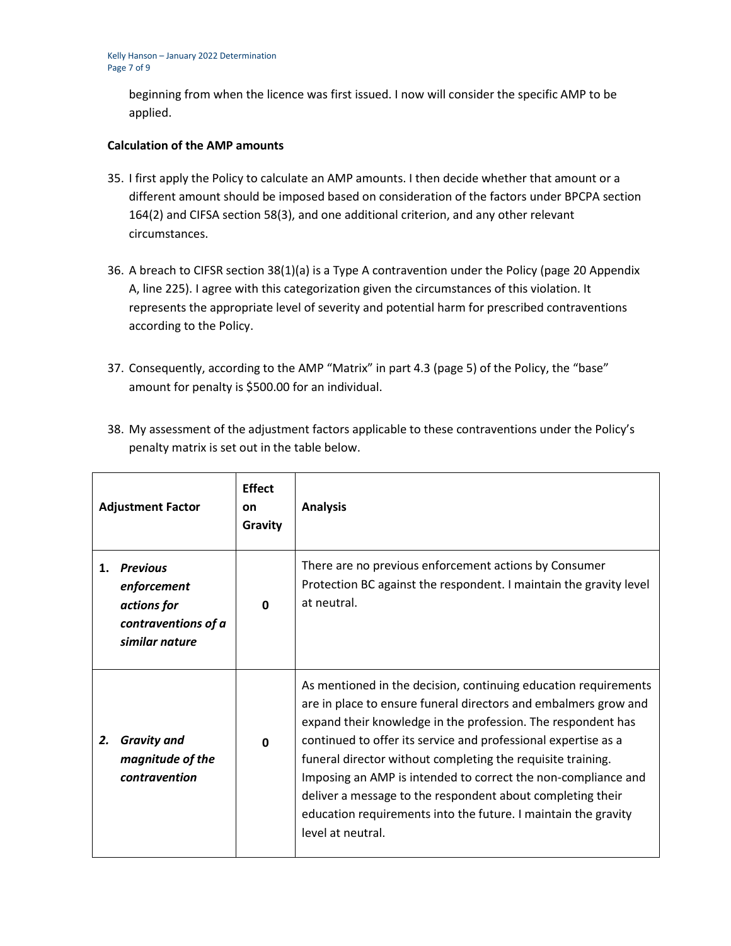beginning from when the licence was first issued. I now will consider the specific AMP to be applied.

## **Calculation of the AMP amounts**

- 35. I first apply the Policy to calculate an AMP amounts. I then decide whether that amount or a different amount should be imposed based on consideration of the factors under BPCPA section 164(2) and CIFSA section 58(3), and one additional criterion, and any other relevant circumstances.
- 36. A breach to CIFSR section 38(1)(a) is a Type A contravention under the Policy (page 20 Appendix A, line 225). I agree with this categorization given the circumstances of this violation. It represents the appropriate level of severity and potential harm for prescribed contraventions according to the Policy.
- 37. Consequently, according to the AMP "Matrix" in part 4.3 (page 5) of the Policy, the "base" amount for penalty is \$500.00 for an individual.

| <b>Adjustment Factor</b> |                                                                                        | <b>Effect</b><br>on<br>Gravity | <b>Analysis</b>                                                                                                                                                                                                                                                                                                                                                                                                                                                                                                                                           |
|--------------------------|----------------------------------------------------------------------------------------|--------------------------------|-----------------------------------------------------------------------------------------------------------------------------------------------------------------------------------------------------------------------------------------------------------------------------------------------------------------------------------------------------------------------------------------------------------------------------------------------------------------------------------------------------------------------------------------------------------|
| 1.                       | <b>Previous</b><br>enforcement<br>actions for<br>contraventions of a<br>similar nature | $\Omega$                       | There are no previous enforcement actions by Consumer<br>Protection BC against the respondent. I maintain the gravity level<br>at neutral.                                                                                                                                                                                                                                                                                                                                                                                                                |
| 2.                       | <b>Gravity and</b><br>magnitude of the<br>contravention                                | $\Omega$                       | As mentioned in the decision, continuing education requirements<br>are in place to ensure funeral directors and embalmers grow and<br>expand their knowledge in the profession. The respondent has<br>continued to offer its service and professional expertise as a<br>funeral director without completing the requisite training.<br>Imposing an AMP is intended to correct the non-compliance and<br>deliver a message to the respondent about completing their<br>education requirements into the future. I maintain the gravity<br>level at neutral. |

38. My assessment of the adjustment factors applicable to these contraventions under the Policy's penalty matrix is set out in the table below.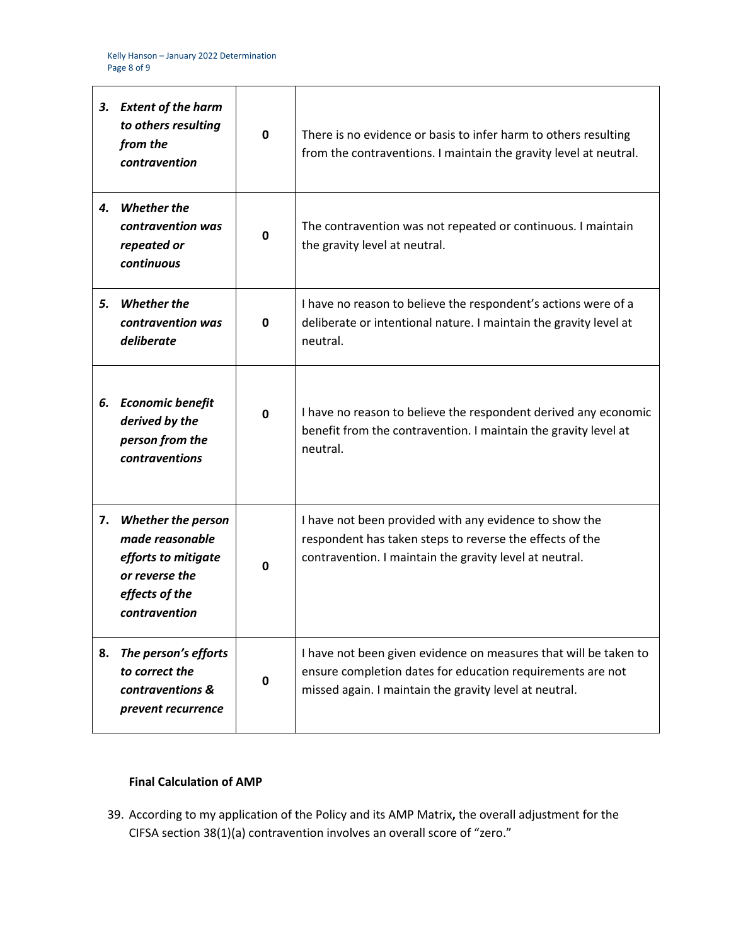| З. | <b>Extent of the harm</b><br>to others resulting<br>from the<br>contravention                                            | $\mathbf 0$ | There is no evidence or basis to infer harm to others resulting<br>from the contraventions. I maintain the gravity level at neutral.                                                     |
|----|--------------------------------------------------------------------------------------------------------------------------|-------------|------------------------------------------------------------------------------------------------------------------------------------------------------------------------------------------|
|    | 4. Whether the<br>contravention was<br>repeated or<br>continuous                                                         | $\mathbf 0$ | The contravention was not repeated or continuous. I maintain<br>the gravity level at neutral.                                                                                            |
| 5. | <b>Whether the</b><br>contravention was<br>deliberate                                                                    | 0           | I have no reason to believe the respondent's actions were of a<br>deliberate or intentional nature. I maintain the gravity level at<br>neutral.                                          |
|    | 6. Economic benefit<br>derived by the<br>person from the<br>contraventions                                               | 0           | I have no reason to believe the respondent derived any economic<br>benefit from the contravention. I maintain the gravity level at<br>neutral.                                           |
| 7. | <b>Whether the person</b><br>made reasonable<br>efforts to mitigate<br>or reverse the<br>effects of the<br>contravention | 0           | I have not been provided with any evidence to show the<br>respondent has taken steps to reverse the effects of the<br>contravention. I maintain the gravity level at neutral.            |
| 8. | The person's efforts<br>to correct the<br>contraventions &<br>prevent recurrence                                         | 0           | I have not been given evidence on measures that will be taken to<br>ensure completion dates for education requirements are not<br>missed again. I maintain the gravity level at neutral. |

# **Final Calculation of AMP**

39. According to my application of the Policy and its AMP Matrix**,** the overall adjustment for the CIFSA section 38(1)(a) contravention involves an overall score of "zero."